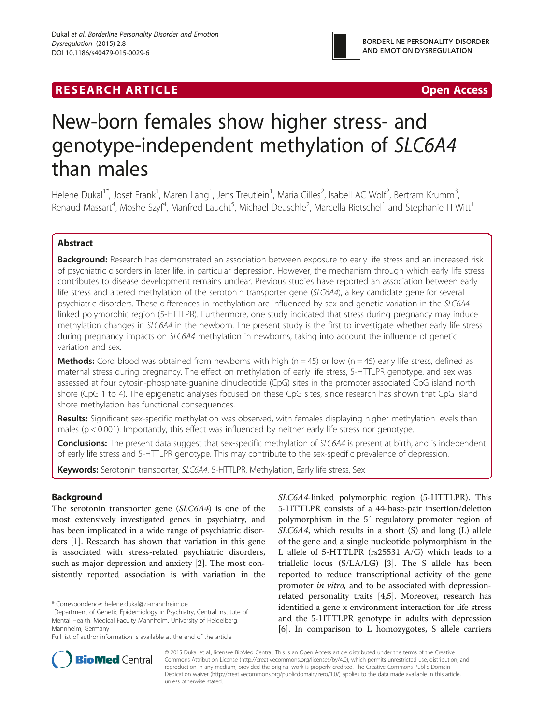# **RESEARCH ARTICLE EXECUTE: CONSIDERING A RESEARCH ARTICLE**



# New-born females show higher stress- and genotype-independent methylation of SLC6A4 than males

Helene Dukal<sup>1\*</sup>, Josef Frank<sup>1</sup>, Maren Lang<sup>1</sup>, Jens Treutlein<sup>1</sup>, Maria Gilles<sup>2</sup>, Isabell AC Wolf<sup>2</sup>, Bertram Krumm<sup>3</sup> , Renaud Massart<sup>4</sup>, Moshe Szyf<sup>4</sup>, Manfred Laucht<sup>5</sup>, Michael Deuschle<sup>2</sup>, Marcella Rietschel<sup>1</sup> and Stephanie H Witt<sup>1</sup>

# Abstract

Background: Research has demonstrated an association between exposure to early life stress and an increased risk of psychiatric disorders in later life, in particular depression. However, the mechanism through which early life stress contributes to disease development remains unclear. Previous studies have reported an association between early life stress and altered methylation of the serotonin transporter gene (SLC6A4), a key candidate gene for several psychiatric disorders. These differences in methylation are influenced by sex and genetic variation in the SLC6A4 linked polymorphic region (5-HTTLPR). Furthermore, one study indicated that stress during pregnancy may induce methylation changes in SLC6A4 in the newborn. The present study is the first to investigate whether early life stress during pregnancy impacts on SLC6A4 methylation in newborns, taking into account the influence of genetic variation and sex.

**Methods:** Cord blood was obtained from newborns with high ( $n = 45$ ) or low ( $n = 45$ ) early life stress, defined as maternal stress during pregnancy. The effect on methylation of early life stress, 5-HTTLPR genotype, and sex was assessed at four cytosin-phosphate-guanine dinucleotide (CpG) sites in the promoter associated CpG island north shore (CpG 1 to 4). The epigenetic analyses focused on these CpG sites, since research has shown that CpG island shore methylation has functional consequences.

Results: Significant sex-specific methylation was observed, with females displaying higher methylation levels than males ( $p < 0.001$ ). Importantly, this effect was influenced by neither early life stress nor genotype.

**Conclusions:** The present data suggest that sex-specific methylation of SLC6A4 is present at birth, and is independent of early life stress and 5-HTTLPR genotype. This may contribute to the sex-specific prevalence of depression.

Keywords: Serotonin transporter, SLC6A4, 5-HTTLPR, Methylation, Early life stress, Sex

# Background

The serotonin transporter gene (SLC6A4) is one of the most extensively investigated genes in psychiatry, and has been implicated in a wide range of psychiatric disorders [[1\]](#page-6-0). Research has shown that variation in this gene is associated with stress-related psychiatric disorders, such as major depression and anxiety [\[2](#page-6-0)]. The most consistently reported association is with variation in the

\* Correspondence: [helene.dukal@zi-mannheim.de](mailto:helene.dukal@zi-mannheim.de) <sup>1</sup>

SLC6A4-linked polymorphic region (5-HTTLPR). This 5-HTTLPR consists of a 44-base-pair insertion/deletion polymorphism in the 5′ regulatory promoter region of SLC6A4, which results in a short (S) and long (L) allele of the gene and a single nucleotide polymorphism in the L allele of 5-HTTLPR (rs25531 A/G) which leads to a triallelic locus (S/LA/LG) [[3\]](#page-6-0). The S allele has been reported to reduce transcriptional activity of the gene promoter in vitro, and to be associated with depressionrelated personality traits [[4,5\]](#page-6-0). Moreover, research has identified a gene x environment interaction for life stress and the 5-HTTLPR genotype in adults with depression [[6\]](#page-6-0). In comparison to L homozygotes, S allele carriers



© 2015 Dukal et al.; licensee BioMed Central. This is an Open Access article distributed under the terms of the Creative Commons Attribution License [\(http://creativecommons.org/licenses/by/4.0\)](http://creativecommons.org/licenses/by/4.0), which permits unrestricted use, distribution, and reproduction in any medium, provided the original work is properly credited. The Creative Commons Public Domain Dedication waiver [\(http://creativecommons.org/publicdomain/zero/1.0/](http://creativecommons.org/publicdomain/zero/1.0/)) applies to the data made available in this article, unless otherwise stated.

<sup>&</sup>lt;sup>1</sup>Department of Genetic Epidemiology in Psychiatry, Central Institute of Mental Health, Medical Faculty Mannheim, University of Heidelberg, Mannheim, Germany

Full list of author information is available at the end of the article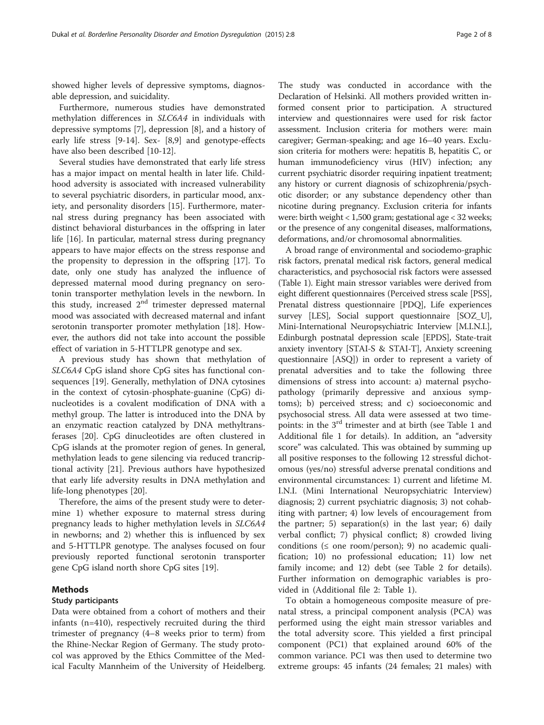showed higher levels of depressive symptoms, diagnosable depression, and suicidality.

Furthermore, numerous studies have demonstrated methylation differences in SLC6A4 in individuals with depressive symptoms [[7\]](#page-6-0), depression [[8\]](#page-6-0), and a history of early life stress [\[9](#page-6-0)-[14\]](#page-6-0). Sex- [[8,9\]](#page-6-0) and genotype-effects have also been described [\[10-12](#page-6-0)].

Several studies have demonstrated that early life stress has a major impact on mental health in later life. Childhood adversity is associated with increased vulnerability to several psychiatric disorders, in particular mood, anxiety, and personality disorders [\[15](#page-6-0)]. Furthermore, maternal stress during pregnancy has been associated with distinct behavioral disturbances in the offspring in later life [[16\]](#page-7-0). In particular, maternal stress during pregnancy appears to have major effects on the stress response and the propensity to depression in the offspring [[17\]](#page-7-0). To date, only one study has analyzed the influence of depressed maternal mood during pregnancy on serotonin transporter methylation levels in the newborn. In this study, increased  $2<sup>nd</sup>$  trimester depressed maternal mood was associated with decreased maternal and infant serotonin transporter promoter methylation [\[18\]](#page-7-0). However, the authors did not take into account the possible effect of variation in 5-HTTLPR genotype and sex.

A previous study has shown that methylation of SLC6A4 CpG island shore CpG sites has functional consequences [[19\]](#page-7-0). Generally, methylation of DNA cytosines in the context of cytosin-phosphate-guanine (CpG) dinucleotides is a covalent modification of DNA with a methyl group. The latter is introduced into the DNA by an enzymatic reaction catalyzed by DNA methyltransferases [[20](#page-7-0)]. CpG dinucleotides are often clustered in CpG islands at the promoter region of genes. In general, methylation leads to gene silencing via reduced trancriptional activity [[21\]](#page-7-0). Previous authors have hypothesized that early life adversity results in DNA methylation and life-long phenotypes [[20\]](#page-7-0).

Therefore, the aims of the present study were to determine 1) whether exposure to maternal stress during pregnancy leads to higher methylation levels in SLC6A4 in newborns; and 2) whether this is influenced by sex and 5-HTTLPR genotype. The analyses focused on four previously reported functional serotonin transporter gene CpG island north shore CpG sites [\[19](#page-7-0)].

# Methods

#### Study participants

Data were obtained from a cohort of mothers and their infants (n=410), respectively recruited during the third trimester of pregnancy (4–8 weeks prior to term) from the Rhine-Neckar Region of Germany. The study protocol was approved by the Ethics Committee of the Medical Faculty Mannheim of the University of Heidelberg.

The study was conducted in accordance with the Declaration of Helsinki. All mothers provided written informed consent prior to participation. A structured interview and questionnaires were used for risk factor assessment. Inclusion criteria for mothers were: main caregiver; German-speaking; and age 16–40 years. Exclusion criteria for mothers were: hepatitis B, hepatitis C, or human immunodeficiency virus (HIV) infection; any current psychiatric disorder requiring inpatient treatment; any history or current diagnosis of schizophrenia/psychotic disorder; or any substance dependency other than nicotine during pregnancy. Exclusion criteria for infants were: birth weight < 1,500 gram; gestational age < 32 weeks; or the presence of any congenital diseases, malformations, deformations, and/or chromosomal abnormalities.

A broad range of environmental and sociodemo-graphic risk factors, prenatal medical risk factors, general medical characteristics, and psychosocial risk factors were assessed (Table [1](#page-2-0)). Eight main stressor variables were derived from eight different questionnaires (Perceived stress scale [PSS], Prenatal distress questionnaire [PDQ], Life experiences survey [LES], Social support questionnaire [SOZ\_U], Mini-International Neuropsychiatric Interview [M.I.N.I.], Edinburgh postnatal depression scale [EPDS], State-trait anxiety inventory [STAI-S & STAI-T], Anxiety screening questionnaire [ASQ]) in order to represent a variety of prenatal adversities and to take the following three dimensions of stress into account: a) maternal psychopathology (primarily depressive and anxious symptoms); b) perceived stress; and c) socioeconomic and psychosocial stress. All data were assessed at two time-points: in the 3<sup>rd</sup> trimester and at birth (see Table [1](#page-2-0) and Additional file [1](#page-6-0) for details). In addition, an "adversity score" was calculated. This was obtained by summing up all positive responses to the following 12 stressful dichotomous (yes/no) stressful adverse prenatal conditions and environmental circumstances: 1) current and lifetime M. I.N.I. (Mini International Neuropsychiatric Interview) diagnosis; 2) current psychiatric diagnosis; 3) not cohabiting with partner; 4) low levels of encouragement from the partner; 5) separation(s) in the last year; 6) daily verbal conflict; 7) physical conflict; 8) crowded living conditions ( $\le$  one room/person); 9) no academic qualification; 10) no professional education; 11) low net family income; and 12) debt (see Table [2](#page-3-0) for details). Further information on demographic variables is provided in (Additional file [2](#page-6-0): Table 1).

To obtain a homogeneous composite measure of prenatal stress, a principal component analysis (PCA) was performed using the eight main stressor variables and the total adversity score. This yielded a first principal component (PC1) that explained around 60% of the common variance. PC1 was then used to determine two extreme groups: 45 infants (24 females; 21 males) with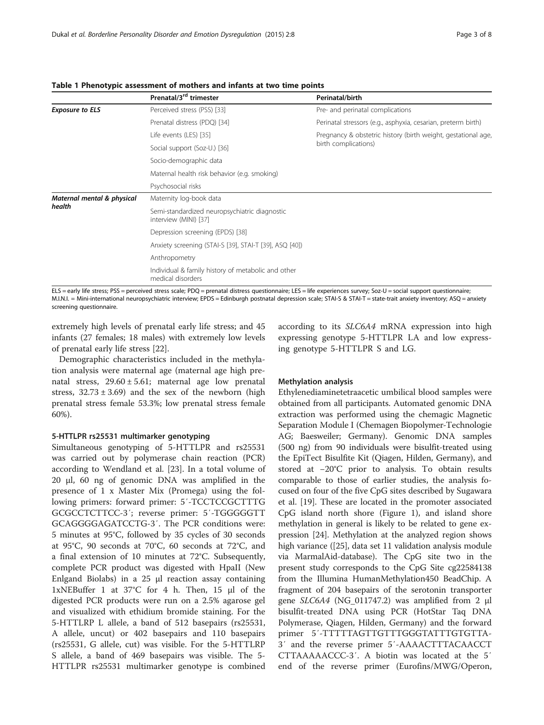|                                      | Prenatal/3 <sup>rd</sup> trimester                                      | Perinatal/birth                                               |  |  |
|--------------------------------------|-------------------------------------------------------------------------|---------------------------------------------------------------|--|--|
| <b>Exposure to ELS</b>               | Perceived stress (PSS) [33]                                             | Pre- and perinatal complications                              |  |  |
|                                      | Prenatal distress (PDQ) [34]                                            | Perinatal stressors (e.g., asphyxia, cesarian, preterm birth) |  |  |
|                                      | Life events (LES) [35]                                                  | Pregnancy & obstetric history (birth weight, gestational age, |  |  |
|                                      | Social support (Soz-U.) [36]                                            | birth complications)                                          |  |  |
|                                      | Socio-demographic data                                                  |                                                               |  |  |
|                                      | Maternal health risk behavior (e.g. smoking)                            |                                                               |  |  |
|                                      | Psychosocial risks                                                      |                                                               |  |  |
| Maternal mental & physical<br>health | Maternity log-book data                                                 |                                                               |  |  |
|                                      | Semi-standardized neuropsychiatric diagnostic<br>interview (MINI) [37]  |                                                               |  |  |
|                                      | Depression screening (EPDS) [38]                                        |                                                               |  |  |
|                                      | Anxiety screening (STAI-S [39], STAI-T [39], ASQ [40])                  |                                                               |  |  |
|                                      | Anthropometry                                                           |                                                               |  |  |
|                                      | Individual & family history of metabolic and other<br>medical disorders |                                                               |  |  |

<span id="page-2-0"></span>Table 1 Phenotypic assessment of mothers and infants at two time points

ELS = early life stress; PSS = perceived stress scale; PDQ = prenatal distress questionnaire; LES = life experiences survey; Soz-U = social support questionnaire; M.I.N.I. = Mini-international neuropsychiatric interview; EPDS = Edinburgh postnatal depression scale; STAI-S & STAI-T = state-trait anxiety inventory; ASQ = anxiety screening questionnaire.

extremely high levels of prenatal early life stress; and 45 infants (27 females; 18 males) with extremely low levels of prenatal early life stress [\[22\]](#page-7-0).

Demographic characteristics included in the methylation analysis were maternal age (maternal age high prenatal stress,  $29.60 \pm 5.61$ ; maternal age low prenatal stress,  $32.73 \pm 3.69$ ) and the sex of the newborn (high prenatal stress female 53.3%; low prenatal stress female 60%).

#### 5-HTTLPR rs25531 multimarker genotyping

Simultaneous genotyping of 5-HTTLPR and rs25531 was carried out by polymerase chain reaction (PCR) according to Wendland et al. [[23](#page-7-0)]. In a total volume of 20 μl, 60 ng of genomic DNA was amplified in the presence of 1 x Master Mix (Promega) using the following primers: forward primer: 5′-TCCTCCGCTTTG GCGCCTCTTCC-3′; reverse primer: 5′-TGGGGGTT GCAGGGGAGATCCTG-3′. The PCR conditions were: 5 minutes at 95°C, followed by 35 cycles of 30 seconds at 95°C, 90 seconds at 70°C, 60 seconds at 72°C, and a final extension of 10 minutes at 72°C. Subsequently, complete PCR product was digested with HpaII (New Enlgand Biolabs) in a 25 μl reaction assay containing 1xNEBuffer 1 at 37°C for 4 h. Then, 15 μl of the digested PCR products were run on a 2.5% agarose gel and visualized with ethidium bromide staining. For the 5-HTTLRP L allele, a band of 512 basepairs (rs25531, A allele, uncut) or 402 basepairs and 110 basepairs (rs25531, G allele, cut) was visible. For the 5-HTTLRP S allele, a band of 469 basepairs was visible. The 5- HTTLPR rs25531 multimarker genotype is combined according to its SLC6A4 mRNA expression into high expressing genotype 5-HTTLPR LA and low expressing genotype 5-HTTLPR S and LG.

#### Methylation analysis

Ethylenediaminetetraacetic umbilical blood samples were obtained from all participants. Automated genomic DNA extraction was performed using the chemagic Magnetic Separation Module I (Chemagen Biopolymer-Technologie AG; Baesweiler; Germany). Genomic DNA samples (500 ng) from 90 individuals were bisulfit-treated using the EpiTect Bisulfite Kit (Qiagen, Hilden, Germany), and stored at −20°C prior to analysis. To obtain results comparable to those of earlier studies, the analysis focused on four of the five CpG sites described by Sugawara et al. [[19\]](#page-7-0). These are located in the promoter associated CpG island north shore (Figure [1\)](#page-3-0), and island shore methylation in general is likely to be related to gene expression [\[24](#page-7-0)]. Methylation at the analyzed region shows high variance ([[25](#page-7-0)], data set 11 validation analysis module via MarmalAid-database). The CpG site two in the present study corresponds to the CpG Site cg22584138 from the Illumina HumanMethylation450 BeadChip. A fragment of 204 basepairs of the serotonin transporter gene SLC6A4 (NG\_011747.2) was amplified from 2 μl bisulfit-treated DNA using PCR (HotStar Taq DNA Polymerase, Qiagen, Hilden, Germany) and the forward primer 5′-TTTTTAGTTGTTTGGGTATTTGTGTTA-3′ and the reverse primer 5′-AAAACTTTACAACCT CTTAAAAACCC-3′. A biotin was located at the 5′ end of the reverse primer (Eurofins/MWG/Operon,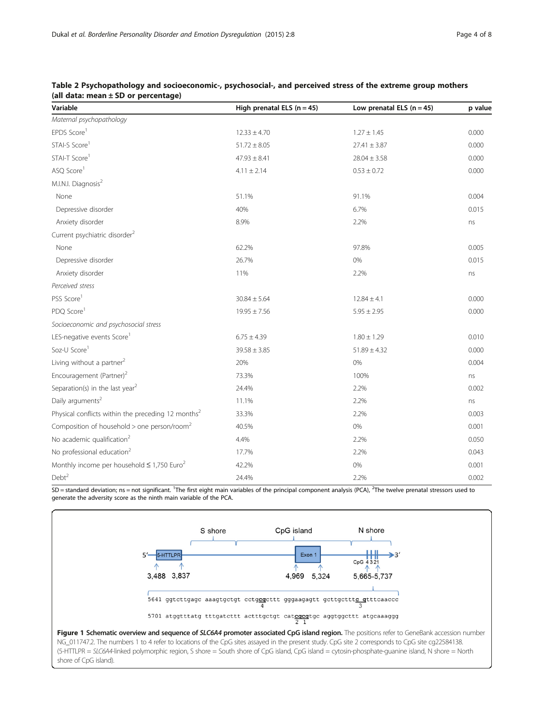| Variable                                                       | High prenatal ELS $(n = 45)$ | Low prenatal ELS $(n = 45)$ | p value |
|----------------------------------------------------------------|------------------------------|-----------------------------|---------|
| Maternal psychopathology                                       |                              |                             |         |
| EPDS Score <sup>1</sup>                                        | $12.33 \pm 4.70$             | $1.27 \pm 1.45$             | 0.000   |
| STAI-S Score <sup>1</sup>                                      | $51.72 \pm 8.05$             | $27.41 \pm 3.87$            | 0.000   |
| STAI-T Score <sup>1</sup>                                      | $47.93 \pm 8.41$             | $28.04 \pm 3.58$            | 0.000   |
| ASQ Score <sup>1</sup>                                         | $4.11 \pm 2.14$              | $0.53 \pm 0.72$             | 0.000   |
| M.I.N.I. Diagnosis <sup>2</sup>                                |                              |                             |         |
| None                                                           | 51.1%                        | 91.1%                       | 0.004   |
| Depressive disorder                                            | 40%                          | 6.7%                        | 0.015   |
| Anxiety disorder                                               | 8.9%                         | 2.2%                        | ns      |
| Current psychiatric disorder <sup>2</sup>                      |                              |                             |         |
| None                                                           | 62.2%                        | 97.8%                       | 0.005   |
| Depressive disorder                                            | 26.7%                        | 0%                          | 0.015   |
| Anxiety disorder                                               | 11%                          | 2.2%                        | ns      |
| Perceived stress                                               |                              |                             |         |
| PSS Score <sup>1</sup>                                         | $30.84 \pm 5.64$             | $12.84 \pm 4.1$             | 0.000   |
| PDQ Score <sup>1</sup>                                         | $19.95 \pm 7.56$             | $5.95 \pm 2.95$             | 0.000   |
| Socioeconomic and psychosocial stress                          |                              |                             |         |
| LES-negative events Score                                      | $6.75 \pm 4.39$              | $1.80 \pm 1.29$             | 0.010   |
| Soz-U Score <sup>1</sup>                                       | $39.58 \pm 3.85$             | $51.89 \pm 4.32$            | 0.000   |
| Living without a partner <sup>2</sup>                          | 20%                          | 0%                          | 0.004   |
| Encouragement (Partner) <sup>2</sup>                           | 73.3%                        | 100%                        | ns      |
| Separation(s) in the last year <sup>2</sup>                    | 24.4%                        | 2.2%                        | 0.002   |
| Daily arguments <sup>2</sup>                                   | 11.1%                        | 2.2%                        | ns      |
| Physical conflicts within the preceding 12 months <sup>2</sup> | 33.3%                        | 2.2%                        | 0.003   |
| Composition of household $>$ one person/room <sup>2</sup>      | 40.5%                        | 0%                          | 0.001   |
| No academic qualification <sup>2</sup>                         | 4.4%                         | 2.2%                        | 0.050   |
| No professional education <sup>2</sup>                         | 17.7%                        | 2.2%                        | 0.043   |
| Monthly income per household $\leq$ 1,750 Euro <sup>2</sup>    | 42.2%                        | 0%                          | 0.001   |
| Debt <sup>2</sup>                                              | 24.4%                        | 2.2%                        | 0.002   |

# <span id="page-3-0"></span>Table 2 Psychopathology and socioeconomic-, psychosocial-, and perceived stress of the extreme group mothers (all data: mean ± SD or percentage)

SD = standard deviation; ns = not significant. <sup>1</sup>The first eight main variables of the principal component analysis (PCA), <sup>2</sup>The twelve prenatal stressors used to generate the adversity score as the ninth main variable of the PCA.



shore of CpG island).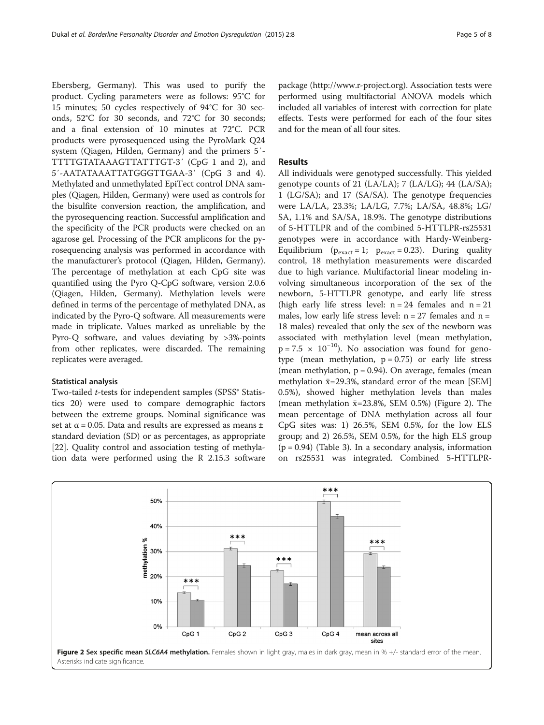Ebersberg, Germany). This was used to purify the product. Cycling parameters were as follows: 95°C for 15 minutes; 50 cycles respectively of 94°C for 30 seconds, 52°C for 30 seconds, and 72°C for 30 seconds; and a final extension of 10 minutes at 72°C. PCR products were pyrosequenced using the PyroMark Q24 system (Qiagen, Hilden, Germany) and the primers 5′- TTTTGTATAAAGTTATTTGT-3′ (CpG 1 and 2), and 5′-AATATAAATTATGGGTTGAA-3′ (CpG 3 and 4). Methylated and unmethylated EpiTect control DNA samples (Qiagen, Hilden, Germany) were used as controls for the bisulfite conversion reaction, the amplification, and the pyrosequencing reaction. Successful amplification and the specificity of the PCR products were checked on an agarose gel. Processing of the PCR amplicons for the pyrosequencing analysis was performed in accordance with the manufacturer's protocol (Qiagen, Hilden, Germany). The percentage of methylation at each CpG site was quantified using the Pyro Q-CpG software, version 2.0.6 (Qiagen, Hilden, Germany). Methylation levels were defined in terms of the percentage of methylated DNA, as indicated by the Pyro-Q software. All measurements were made in triplicate. Values marked as unreliable by the Pyro-Q software, and values deviating by >3%-points from other replicates, were discarded. The remaining replicates were averaged.

#### Statistical analysis

Two-tailed *t*-tests for independent samples (SPSS<sup>®</sup> Statistics 20) were used to compare demographic factors between the extreme groups. Nominal significance was set at  $\alpha$  = 0.05. Data and results are expressed as means  $\pm$ standard deviation (SD) or as percentages, as appropriate [[22\]](#page-7-0). Quality control and association testing of methylation data were performed using the R 2.15.3 software

package (<http://www.r-project.org>). Association tests were performed using multifactorial ANOVA models which included all variables of interest with correction for plate effects. Tests were performed for each of the four sites and for the mean of all four sites.

# Results

All individuals were genotyped successfully. This yielded genotype counts of 21 (LA/LA); 7 (LA/LG); 44 (LA/SA); 1 (LG/SA); and 17 (SA/SA). The genotype frequencies were LA/LA, 23.3%; LA/LG, 7.7%; LA/SA, 48.8%; LG/ SA, 1.1% and SA/SA, 18.9%. The genotype distributions of 5-HTTLPR and of the combined 5-HTTLPR-rs25531 genotypes were in accordance with Hardy-Weinberg-Equilibrium ( $p_{\text{exact}} = 1$ ;  $p_{\text{exact}} = 0.23$ ). During quality control, 18 methylation measurements were discarded due to high variance. Multifactorial linear modeling involving simultaneous incorporation of the sex of the newborn, 5-HTTLPR genotype, and early life stress (high early life stress level:  $n = 24$  females and  $n = 21$ males, low early life stress level:  $n = 27$  females and  $n =$ 18 males) revealed that only the sex of the newborn was associated with methylation level (mean methylation,  $p = 7.5 \times 10^{-10}$ ). No association was found for genotype (mean methylation,  $p = 0.75$ ) or early life stress (mean methylation,  $p = 0.94$ ). On average, females (mean methylation  $\bar{x}$ =29.3%, standard error of the mean [SEM] 0.5%), showed higher methylation levels than males (mean methylation  $\bar{x}$ =23.8%, SEM 0.5%) (Figure 2). The mean percentage of DNA methylation across all four CpG sites was: 1) 26.5%, SEM 0.5%, for the low ELS group; and 2) 26.5%, SEM 0.5%, for the high ELS group  $(p = 0.94)$  (Table [3\)](#page-5-0). In a secondary analysis, information on rs25531 was integrated. Combined 5-HTTLPR-

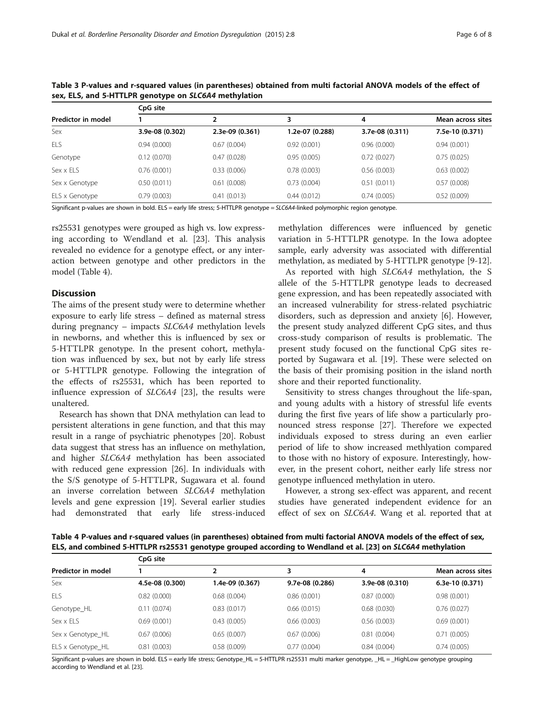| Predictor in model | CpG site        |                 |                 |                 |                   |
|--------------------|-----------------|-----------------|-----------------|-----------------|-------------------|
|                    |                 |                 | 3               | 4               | Mean across sites |
| Sex                | 3.9e-08 (0.302) | 2.3e-09 (0.361) | 1.2e-07 (0.288) | 3.7e-08 (0.311) | 7.5e-10 (0.371)   |
| ELS                | 0.94(0.000)     | 0.67(0.004)     | 0.92(0.001)     | 0.96(0.000)     | 0.94(0.001)       |
| Genotype           | 0.12(0.070)     | 0.47(0.028)     | 0.95(0.005)     | 0.72(0.027)     | 0.75(0.025)       |
| Sex x ELS          | 0.76(0.001)     | 0.33(0.006)     | 0.78(0.003)     | 0.56(0.003)     | 0.63(0.002)       |
| Sex x Genotype     | 0.50(0.011)     | 0.61(0.008)     | 0.73(0.004)     | 0.51(0.011)     | 0.57(0.008)       |
| ELS x Genotype     | 0.79(0.003)     | 0.41(0.013)     | 0.44(0.012)     | 0.74(0.005)     | 0.52(0.009)       |

<span id="page-5-0"></span>Table 3 P-values and r-squared values (in parentheses) obtained from multi factorial ANOVA models of the effect of sex, ELS, and 5-HTTLPR genotype on SLC6A4 methylation

Significant p-values are shown in bold. ELS = early life stress; 5-HTTLPR genotype = SLC6A4-linked polymorphic region genotype.

rs25531 genotypes were grouped as high vs. low expressing according to Wendland et al. [[23](#page-7-0)]. This analysis revealed no evidence for a genotype effect, or any interaction between genotype and other predictors in the model (Table 4).

#### Discussion

The aims of the present study were to determine whether exposure to early life stress – defined as maternal stress during pregnancy – impacts SLC6A4 methylation levels in newborns, and whether this is influenced by sex or 5-HTTLPR genotype. In the present cohort, methylation was influenced by sex, but not by early life stress or 5-HTTLPR genotype. Following the integration of the effects of rs25531, which has been reported to influence expression of SLC6A4 [\[23](#page-7-0)], the results were unaltered.

Research has shown that DNA methylation can lead to persistent alterations in gene function, and that this may result in a range of psychiatric phenotypes [\[20\]](#page-7-0). Robust data suggest that stress has an influence on methylation, and higher SLC6A4 methylation has been associated with reduced gene expression [[26\]](#page-7-0). In individuals with the S/S genotype of 5-HTTLPR, Sugawara et al. found an inverse correlation between SLC6A4 methylation levels and gene expression [\[19](#page-7-0)]. Several earlier studies had demonstrated that early life stress-induced methylation differences were influenced by genetic variation in 5-HTTLPR genotype. In the Iowa adoptee sample, early adversity was associated with differential methylation, as mediated by 5-HTTLPR genotype [[9-12](#page-6-0)].

As reported with high SLC6A4 methylation, the S allele of the 5-HTTLPR genotype leads to decreased gene expression, and has been repeatedly associated with an increased vulnerability for stress-related psychiatric disorders, such as depression and anxiety [\[6](#page-6-0)]. However, the present study analyzed different CpG sites, and thus cross-study comparison of results is problematic. The present study focused on the functional CpG sites reported by Sugawara et al. [\[19](#page-7-0)]. These were selected on the basis of their promising position in the island north shore and their reported functionality.

Sensitivity to stress changes throughout the life-span, and young adults with a history of stressful life events during the first five years of life show a particularly pronounced stress response [[27](#page-7-0)]. Therefore we expected individuals exposed to stress during an even earlier period of life to show increased methlyation compared to those with no history of exposure. Interestingly, however, in the present cohort, neither early life stress nor genotype influenced methylation in utero.

However, a strong sex-effect was apparent, and recent studies have generated independent evidence for an effect of sex on SLC6A4. Wang et al. reported that at

Table 4 P-values and r-squared values (in parentheses) obtained from multi factorial ANOVA models of the effect of sex, ELS, and combined 5-HTTLPR rs25531 genotype grouped according to Wendland et al. [\[23](#page-7-0)] on SLC6A4 methylation

| Predictor in model | CpG site        |                 |                 |                 |                   |  |
|--------------------|-----------------|-----------------|-----------------|-----------------|-------------------|--|
|                    |                 |                 | 3               | 4               | Mean across sites |  |
| Sex                | 4.5e-08 (0.300) | 1.4e-09 (0.367) | 9.7e-08 (0.286) | 3.9e-08 (0.310) | 6.3e-10 (0.371)   |  |
| ELS                | 0.82(0.000)     | 0.68(0.004)     | 0.86(0.001)     | 0.87(0.000)     | 0.98(0.001)       |  |
| Genotype_HL        | 0.11(0.074)     | 0.83(0.017)     | 0.66(0.015)     | 0.68(0.030)     | 0.76(0.027)       |  |
| Sex x ELS          | 0.69(0.001)     | 0.43(0.005)     | 0.66(0.003)     | 0.56(0.003)     | 0.69(0.001)       |  |
| Sex x Genotype HL  | 0.67(0.006)     | 0.65(0.007)     | 0.67(0.006)     | 0.81(0.004)     | 0.71(0.005)       |  |
| ELS x Genotype_HL  | 0.81(0.003)     | 0.58(0.009)     | 0.77(0.004)     | 0.84(0.004)     | 0.74(0.005)       |  |

Significant p-values are shown in bold. ELS = early life stress; Genotype\_HL = 5-HTTLPR rs25531 multi marker genotype, \_HL = \_HighLow genotype grouping according to Wendland et al. [\[23\]](#page-7-0).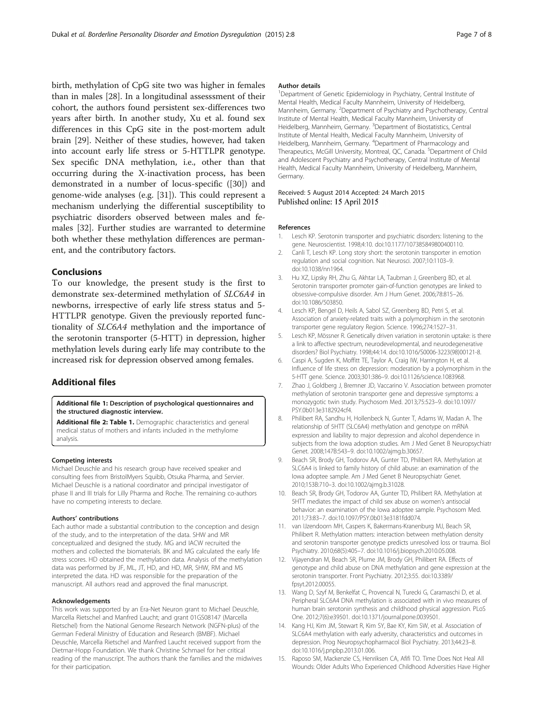<span id="page-6-0"></span>birth, methylation of CpG site two was higher in females than in males [[28\]](#page-7-0). In a longitudinal assesssment of their cohort, the authors found persistent sex-differences two years after birth. In another study, Xu et al. found sex differences in this CpG site in the post-mortem adult brain [[29\]](#page-7-0). Neither of these studies, however, had taken into account early life stress or 5-HTTLPR genotype. Sex specific DNA methylation, i.e., other than that occurring during the X-inactivation process, has been demonstrated in a number of locus-specific ([[30\]](#page-7-0)) and genome-wide analyses (e.g. [[31\]](#page-7-0)). This could represent a mechanism underlying the differential susceptibility to psychiatric disorders observed between males and females [\[32](#page-7-0)]. Further studies are warranted to determine both whether these methylation differences are permanent, and the contributory factors.

#### Conclusions

To our knowledge, the present study is the first to demonstrate sex-determined methylation of SLC6A4 in newborns, irrespective of early life stress status and 5- HTTLPR genotype. Given the previously reported functionality of SLC6A4 methylation and the importance of the serotonin transporter (5-HTT) in depression, higher methylation levels during early life may contribute to the increased risk for depression observed among females.

# Additional files

[Additional file 1:](http://www.bpded.com/content/supplementary/s40479-015-0029-6-s1.docx) Description of psychological questionnaires and the structured diagnostic interview.

[Additional file 2: Table 1.](http://www.bpded.com/content/supplementary/s40479-015-0029-6-s2.docx) Demographic characteristics and general medical status of mothers and infants included in the methylome analysis.

#### Competing interests

Michael Deuschle and his research group have received speaker and consulting fees from BristolMyers Squibb, Otsuka Pharma, and Servier. Michael Deuschle is a national coordinator and principal investigator of phase II and III trials for Lilly Pharma and Roche. The remaining co-authors have no competing interests to declare.

#### Authors' contributions

Each author made a substantial contribution to the conception and design of the study, and to the interpretation of the data. SHW and MR conceptualized and designed the study. MG and IACW recruited the mothers and collected the biomaterials. BK and MG calculated the early life stress scores. HD obtained the methylation data. Analysis of the methylation data was performed by JF, ML, JT, HD, and HD, MR, SHW, RM and MS interpreted the data. HD was responsible for the preparation of the manuscript. All authors read and approved the final manuscript.

#### Acknowledgements

This work was supported by an Era-Net Neuron grant to Michael Deuschle, Marcella Rietschel and Manfred Laucht; and grant 01GS08147 (Marcella Rietschel) from the National Genome Research Network (NGFN-plus) of the German Federal Ministry of Education and Research (BMBF). Michael Deuschle, Marcella Rietschel and Manfred Laucht received support from the Dietmar-Hopp Foundation. We thank Christine Schmael for her critical reading of the manuscript. The authors thank the families and the midwives for their participation.

#### Author details

<sup>1</sup>Department of Genetic Epidemiology in Psychiatry, Central Institute of Mental Health, Medical Faculty Mannheim, University of Heidelberg, Mannheim, Germany. <sup>2</sup> Department of Psychiatry and Psychotherapy, Central Institute of Mental Health, Medical Faculty Mannheim, University of Heidelberg, Mannheim, Germany. <sup>3</sup>Department of Biostatistics, Central Institute of Mental Health, Medical Faculty Mannheim, University of Heidelberg, Mannheim, Germany. <sup>4</sup>Department of Pharmacology and Therapeutics, McGill University, Montreal, QC, Canada. <sup>5</sup>Department of Child and Adolescent Psychiatry and Psychotherapy, Central Institute of Mental Health, Medical Faculty Mannheim, University of Heidelberg, Mannheim, Germany.

#### Received: 5 August 2014 Accepted: 24 March 2015 Published online: 15 April 2015

#### References

- Lesch KP. Serotonin transporter and psychiatric disorders: listening to the gene. Neuroscientist. 1998;4:10. doi:10.1177/107385849800400110.
- 2. Canli T, Lesch KP. Long story short: the serotonin transporter in emotion regulation and social cognition. Nat Neurosci. 2007;10:1103–9. doi:10.1038/nn1964.
- Hu XZ, Lipsky RH, Zhu G, Akhtar LA, Taubman J, Greenberg BD, et al. Serotonin transporter promoter gain-of-function genotypes are linked to obsessive-compulsive disorder. Am J Hum Genet. 2006;78:815–26. doi:10.1086/503850.
- 4. Lesch KP, Bengel D, Heils A, Sabol SZ, Greenberg BD, Petri S, et al. Association of anxiety-related traits with a polymorphism in the serotonin transporter gene regulatory Region. Science. 1996;274:1527–31.
- 5. Lesch KP, Mössner R. Genetically driven variation in serotonin uptake: is there a link to affective spectrum, neurodevelopmental, and neurodegenerative disorders? Biol Psychiatry. 1998;44:14. doi:10.1016/S0006-3223(98)00121-8.
- 6. Caspi A, Sugden K, Moffitt TE, Taylor A, Craig IW, Harrington H, et al. Influence of life stress on depression: moderation by a polymorphism in the 5-HTT gene. Science. 2003;301:386–9. doi:10.1126/science.1083968.
- 7. Zhao J, Goldberg J, Bremner JD, Vaccarino V. Association between promoter methylation of serotonin transporter gene and depressive symptoms: a monozygotic twin study. Psychosom Med. 2013;75:523–9. doi:10.1097/ PSY.0b013e3182924cf4.
- 8. Philibert RA, Sandhu H, Hollenbeck N, Gunter T, Adams W, Madan A. The relationship of 5HTT (SLC6A4) methylation and genotype on mRNA expression and liability to major depression and alcohol dependence in subjects from the Iowa adoption studies. Am J Med Genet B Neuropsychiatr Genet. 2008;147B:543–9. doi:10.1002/ajmg.b.30657.
- 9. Beach SR, Brody GH, Todorov AA, Gunter TD, Philibert RA. Methylation at SLC6A4 is linked to family history of child abuse: an examination of the Iowa adoptee sample. Am J Med Genet B Neuropsychiatr Genet. 2010;153B:710–3. doi:10.1002/ajmg.b.31028.
- 10. Beach SR, Brody GH, Todorov AA, Gunter TD, Philibert RA. Methylation at 5HTT mediates the impact of child sex abuse on women's antisocial behavior: an examination of the Iowa adoptee sample. Psychosom Med. 2011;73:83–7. doi:10.1097/PSY.0b013e3181fdd074.
- 11. van IJzendoorn MH, Caspers K, Bakermans-Kranenburg MJ, Beach SR, Philibert R. Methylation matters: interaction between methylation density and serotonin transporter genotype predicts unresolved loss or trauma. Biol Psychiatry. 2010;68(5):405–7. doi:10.1016/j.biopsych.2010.05.008.
- 12. Vijayendran M, Beach SR, Plume JM, Brody GH, Philibert RA. Effects of genotype and child abuse on DNA methylation and gene expression at the serotonin transporter. Front Psychiatry. 2012;3:55. doi:10.3389/ fpsyt.2012.00055.
- 13. Wang D, Szyf M, Benkelfat C, Provencal N, Turecki G, Caramaschi D, et al. Peripheral SLC6A4 DNA methylation is associated with in vivo measures of human brain serotonin synthesis and childhood physical aggression. PLoS One. 2012;7(6):e39501. doi:10.1371/journal.pone.0039501.
- 14. Kang HJ, Kim JM, Stewart R, Kim SY, Bae KY, Kim SW, et al. Association of SLC6A4 methylation with early adversity, characteristics and outcomes in depression. Prog Neuropsychopharmacol Biol Psychiatry. 2013;44:23–8. doi:10.1016/j.pnpbp.2013.01.006.
- 15. Raposo SM, Mackenzie CS, Henriksen CA, Afifi TO. Time Does Not Heal All Wounds: Older Adults Who Experienced Childhood Adversities Have Higher